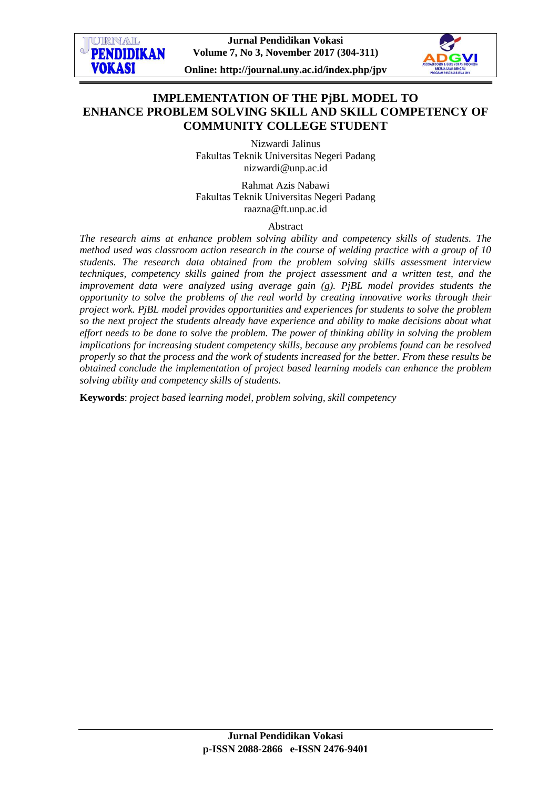**Jurnal Pendidikan Vokasi Volume 7, No 3, November 2017 (304-311)**

**TIPRNAT. PENDIDIKAN** 

**VOKASI** 

**Online: http://journal.uny.ac.id/index.php/jpv**

## **IMPLEMENTATION OF THE PjBL MODEL TO ENHANCE PROBLEM SOLVING SKILL AND SKILL COMPETENCY OF COMMUNITY COLLEGE STUDENT**

Nizwardi Jalinus Fakultas Teknik Universitas Negeri Padang [nizwardi@unp.ac.id](mailto:nizwardi@unp.ac.id)

Rahmat Azis Nabawi Fakultas Teknik Universitas Negeri Padang [raazna@ft.unp.ac.id](mailto:raazna@ft.unp.ac.id)

Abstract

*The research aims at enhance problem solving ability and competency skills of students. The method used was classroom action research in the course of welding practice with a group of 10 students. The research data obtained from the problem solving skills assessment interview techniques, competency skills gained from the project assessment and a written test, and the improvement data were analyzed using average gain (g). PjBL model provides students the opportunity to solve the problems of the real world by creating innovative works through their project work. PjBL model provides opportunities and experiences for students to solve the problem so the next project the students already have experience and ability to make decisions about what effort needs to be done to solve the problem. The power of thinking ability in solving the problem implications for increasing student competency skills, because any problems found can be resolved properly so that the process and the work of students increased for the better. From these results be obtained conclude the implementation of project based learning models can enhance the problem solving ability and competency skills of students.*

**Keywords**: *project based learning model, problem solving, skill competency*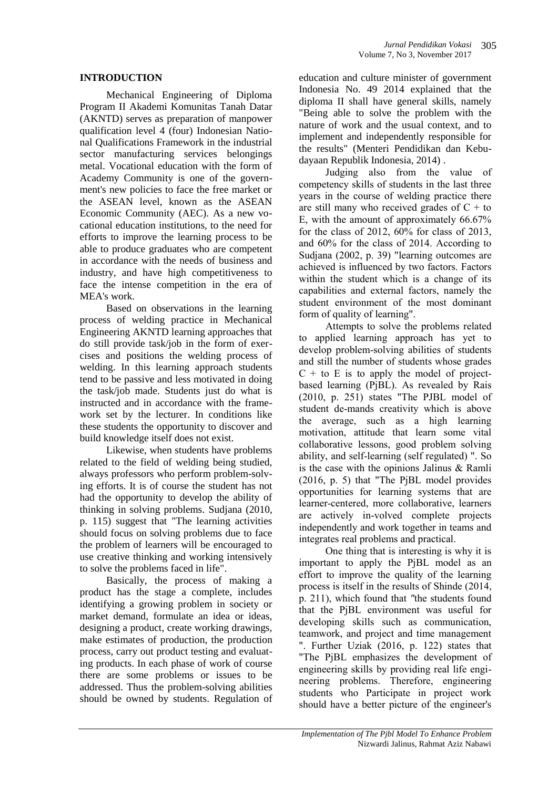#### **INTRODUCTION**

Mechanical Engineering of Diploma Program II Akademi Komunitas Tanah Datar (AKNTD) serves as preparation of manpower qualification level 4 (four) Indonesian National Qualifications Framework in the industrial sector manufacturing services belongings metal. Vocational education with the form of Academy Community is one of the government's new policies to face the free market or the ASEAN level, known as the ASEAN Economic Community (AEC). As a new vocational education institutions, to the need for efforts to improve the learning process to be able to produce graduates who are competent in accordance with the needs of business and industry, and have high competitiveness to face the intense competition in the era of MEA's work.

Based on observations in the learning process of welding practice in Mechanical Engineering AKNTD learning approaches that do still provide task/job in the form of exercises and positions the welding process of welding. In this learning approach students tend to be passive and less motivated in doing the task/job made. Students just do what is instructed and in accordance with the framework set by the lecturer. In conditions like these students the opportunity to discover and build knowledge itself does not exist.

Likewise, when students have problems related to the field of welding being studied, always professors who perform problem-solving efforts. It is of course the student has not had the opportunity to develop the ability of thinking in solving problems. Sudjana (2010, p. 115) suggest that "The learning activities should focus on solving problems due to face the problem of learners will be encouraged to use creative thinking and working intensively to solve the problems faced in life".

Basically, the process of making a product has the stage a complete, includes identifying a growing problem in society or market demand, formulate an idea or ideas, designing a product, create working drawings, make estimates of production, the production process, carry out product testing and evaluating products. In each phase of work of course there are some problems or issues to be addressed. Thus the problem-solving abilities should be owned by students. Regulation of education and culture minister of government Indonesia No. 49 2014 explained that the diploma II shall have general skills, namely "Being able to solve the problem with the nature of work and the usual context, and to implement and independently responsible for the results" (Menteri Pendidikan dan Kebudayaan Republik Indonesia, 2014) .

Judging also from the value of competency skills of students in the last three years in the course of welding practice there are still many who received grades of  $C + t_0$ E, with the amount of approximately 66.67% for the class of 2012, 60% for class of 2013, and 60% for the class of 2014. According to Sudjana (2002, p. 39) "learning outcomes are achieved is influenced by two factors. Factors within the student which is a change of its capabilities and external factors, namely the student environment of the most dominant form of quality of learning".

Attempts to solve the problems related to applied learning approach has yet to develop problem-solving abilities of students and still the number of students whose grades  $C +$  to E is to apply the model of projectbased learning (PjBL). As revealed by Rais (2010, p. 251) states "The PJBL model of student de-mands creativity which is above the average, such as a high learning motivation, attitude that learn some vital collaborative lessons, good problem solving ability, and self-learning (self regulated) ". So is the case with the opinions Jalinus & Ramli (2016, p. 5) that "The PjBL model provides opportunities for learning systems that are learner-centered, more collaborative, learners are actively in-volved complete projects independently and work together in teams and integrates real problems and practical.

One thing that is interesting is why it is important to apply the PjBL model as an effort to improve the quality of the learning process is itself in the results of Shinde (2014, p. 211), which found that *"*the students found that the PjBL environment was useful for developing skills such as communication, teamwork, and project and time management ". Further Uziak (2016, p. 122) states that "The PjBL emphasizes the development of engineering skills by providing real life engineering problems. Therefore, engineering students who Participate in project work should have a better picture of the engineer's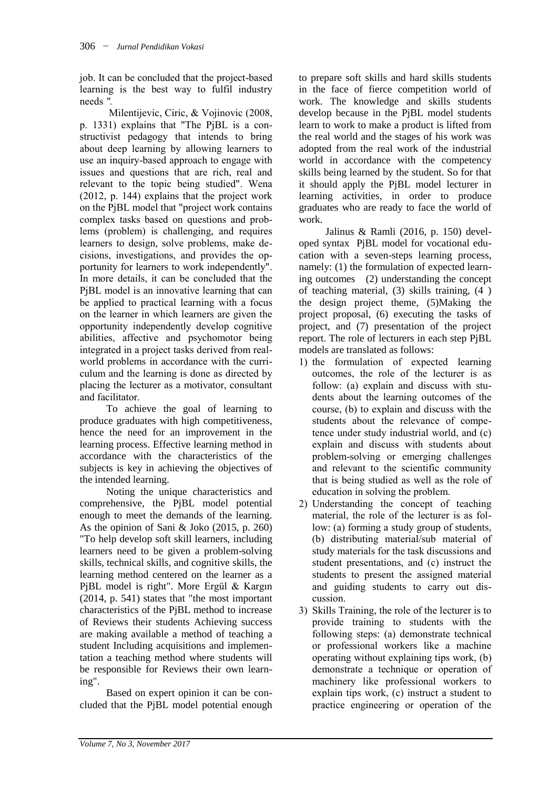job. It can be concluded that the project-based learning is the best way to fulfil industry needs *".*

Milentijevic, Ciric, & Vojinovic (2008, p. 1331) explains that "The PjBL is a constructivist pedagogy that intends to bring about deep learning by allowing learners to use an inquiry-based approach to engage with issues and questions that are rich, real and relevant to the topic being studied". Wena (2012, p. 144) explains that the project work on the PjBL model that "project work contains complex tasks based on questions and problems (problem) is challenging, and requires learners to design, solve problems, make decisions, investigations, and provides the opportunity for learners to work independently". In more details, it can be concluded that the PjBL model is an innovative learning that can be applied to practical learning with a focus on the learner in which learners are given the opportunity independently develop cognitive abilities, affective and psychomotor being integrated in a project tasks derived from realworld problems in accordance with the curriculum and the learning is done as directed by placing the lecturer as a motivator, consultant and facilitator.

To achieve the goal of learning to produce graduates with high competitiveness, hence the need for an improvement in the learning process. Effective learning method in accordance with the characteristics of the subjects is key in achieving the objectives of the intended learning.

Noting the unique characteristics and comprehensive, the PjBL model potential enough to meet the demands of the learning. As the opinion of Sani & Joko (2015, p. 260) "To help develop soft skill learners, including learners need to be given a problem-solving skills, technical skills, and cognitive skills, the learning method centered on the learner as a PjBL model is right". More Ergül & Kargın (2014, p. 541) states that "the most important characteristics of the PjBL method to increase of Reviews their students Achieving success are making available a method of teaching a student Including acquisitions and implementation a teaching method where students will be responsible for Reviews their own learning".

Based on expert opinion it can be concluded that the PjBL model potential enough to prepare soft skills and hard skills students in the face of fierce competition world of work. The knowledge and skills students develop because in the PjBL model students learn to work to make a product is lifted from the real world and the stages of his work was adopted from the real work of the industrial world in accordance with the competency skills being learned by the student. So for that it should apply the PjBL model lecturer in learning activities, in order to produce graduates who are ready to face the world of work.

Jalinus & Ramli (2016, p. 150) developed syntax PjBL model for vocational education with a seven-steps learning process, namely: (1) the formulation of expected learning outcomes (2) understanding the concept of teaching material, (3) skills training, (4 ) the design project theme, (5)Making the project proposal, (6) executing the tasks of project, and (7) presentation of the project report. The role of lecturers in each step PjBL models are translated as follows:

- 1) the formulation of expected learning outcomes, the role of the lecturer is as follow: (a) explain and discuss with students about the learning outcomes of the course, (b) to explain and discuss with the students about the relevance of competence under study industrial world, and (c) explain and discuss with students about problem-solving or emerging challenges and relevant to the scientific community that is being studied as well as the role of education in solving the problem.
- 2) Understanding the concept of teaching material, the role of the lecturer is as follow: (a) forming a study group of students, (b) distributing material/sub material of study materials for the task discussions and student presentations, and (c) instruct the students to present the assigned material and guiding students to carry out discussion.
- 3) Skills Training, the role of the lecturer is to provide training to students with the following steps: (a) demonstrate technical or professional workers like a machine operating without explaining tips work, (b) demonstrate a technique or operation of machinery like professional workers to explain tips work, (c) instruct a student to practice engineering or operation of the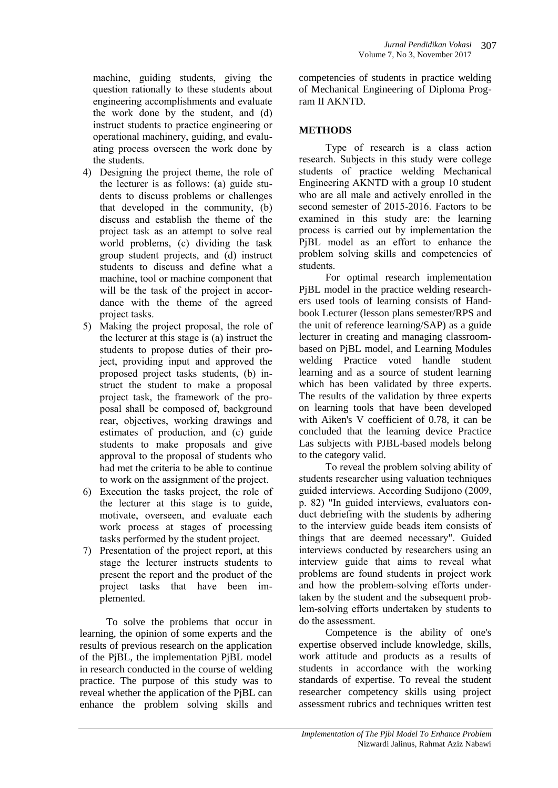machine, guiding students, giving the question rationally to these students about engineering accomplishments and evaluate the work done by the student, and (d) instruct students to practice engineering or operational machinery, guiding, and evaluating process overseen the work done by the students.

- 4) Designing the project theme, the role of the lecturer is as follows: (a) guide students to discuss problems or challenges that developed in the community, (b) discuss and establish the theme of the project task as an attempt to solve real world problems, (c) dividing the task group student projects, and (d) instruct students to discuss and define what a machine, tool or machine component that will be the task of the project in accordance with the theme of the agreed project tasks.
- 5) Making the project proposal, the role of the lecturer at this stage is (a) instruct the students to propose duties of their project, providing input and approved the proposed project tasks students, (b) instruct the student to make a proposal project task, the framework of the proposal shall be composed of, background rear, objectives, working drawings and estimates of production, and (c) guide students to make proposals and give approval to the proposal of students who had met the criteria to be able to continue to work on the assignment of the project.
- 6) Execution the tasks project, the role of the lecturer at this stage is to guide, motivate, overseen, and evaluate each work process at stages of processing tasks performed by the student project.
- 7) Presentation of the project report, at this stage the lecturer instructs students to present the report and the product of the project tasks that have been implemented.

To solve the problems that occur in learning, the opinion of some experts and the results of previous research on the application of the PjBL, the implementation PjBL model in research conducted in the course of welding practice. The purpose of this study was to reveal whether the application of the PjBL can enhance the problem solving skills and

competencies of students in practice welding of Mechanical Engineering of Diploma Program II AKNTD.

307

# **METHODS**

Type of research is a class action research. Subjects in this study were college students of practice welding Mechanical Engineering AKNTD with a group 10 student who are all male and actively enrolled in the second semester of 2015-2016. Factors to be examined in this study are: the learning process is carried out by implementation the PjBL model as an effort to enhance the problem solving skills and competencies of students.

For optimal research implementation PjBL model in the practice welding researchers used tools of learning consists of Handbook Lecturer (lesson plans semester/RPS and the unit of reference learning/SAP) as a guide lecturer in creating and managing classroombased on PjBL model, and Learning Modules welding Practice voted handle student learning and as a source of student learning which has been validated by three experts. The results of the validation by three experts on learning tools that have been developed with Aiken's V coefficient of 0.78, it can be concluded that the learning device Practice Las subjects with PJBL-based models belong to the category valid.

To reveal the problem solving ability of students researcher using valuation techniques guided interviews. According Sudijono (2009, p. 82) "In guided interviews, evaluators conduct debriefing with the students by adhering to the interview guide beads item consists of things that are deemed necessary". Guided interviews conducted by researchers using an interview guide that aims to reveal what problems are found students in project work and how the problem-solving efforts undertaken by the student and the subsequent problem-solving efforts undertaken by students to do the assessment.

Competence is the ability of one's expertise observed include knowledge, skills, work attitude and products as a results of students in accordance with the working standards of expertise. To reveal the student researcher competency skills using project assessment rubrics and techniques written test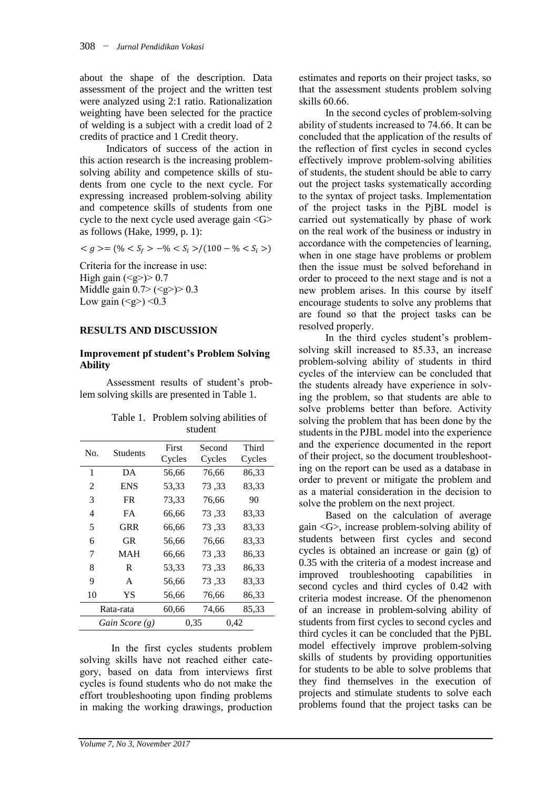about the shape of the description. Data assessment of the project and the written test were analyzed using 2:1 ratio. Rationalization weighting have been selected for the practice of welding is a subject with a credit load of 2 credits of practice and 1 Credit theory.

Indicators of success of the action in this action research is the increasing problemsolving ability and competence skills of students from one cycle to the next cycle. For expressing increased problem-solving ability and competence skills of students from one cycle to the next cycle used average gain <G> as follows (Hake, 1999, p. 1):

 $\langle g \rangle = (\% \langle S_f \rangle - \% \langle S_i \rangle)/ (100 - \% \langle S_i \rangle)$ 

Criteria for the increase in use: High gain  $(\leq g \geq) > 0.7$ Middle gain  $0.7 > ()>0.3$ Low gain  $(\leq g$ > $)$  <0.3

#### **RESULTS AND DISCUSSION**

#### **Improvement pf student's Problem Solving Ability**

Assessment results of student's problem solving skills are presented in Table 1.

| <b>Students</b> | First | Second          | Third  |
|-----------------|-------|-----------------|--------|
|                 |       |                 | Cycles |
| DA              | 56,66 | 76,66           | 86,33  |
| ENS             | 53,33 | 73,33           | 83,33  |
| FR.             | 73,33 | 76.66           | 90     |
| FA              | 66,66 | 73,33           | 83,33  |
| GRR             | 66,66 | 73,33           | 83,33  |
| GR              | 56,66 | 76,66           | 83.33  |
| MAH             | 66,66 | 73,33           | 86,33  |
| R               | 53,33 | 73,33           | 86,33  |
| A               | 56,66 | 73,33           | 83,33  |
| YS              | 56,66 | 76,66           | 86,33  |
| Rata-rata       |       | 74,66           | 85,33  |
| Gain Score (g)  |       | 0.35<br>0,42    |        |
|                 |       | Cycles<br>60,66 | Cycles |

| Table 1. Problem solving abilities of |
|---------------------------------------|
| student                               |

In the first cycles students problem solving skills have not reached either category, based on data from interviews first cycles is found students who do not make the effort troubleshooting upon finding problems in making the working drawings, production estimates and reports on their project tasks, so that the assessment students problem solving skills 60.66.

In the second cycles of problem-solving ability of students increased to 74.66. It can be concluded that the application of the results of the reflection of first cycles in second cycles effectively improve problem-solving abilities of students, the student should be able to carry out the project tasks systematically according to the syntax of project tasks. Implementation of the project tasks in the PjBL model is carried out systematically by phase of work on the real work of the business or industry in accordance with the competencies of learning, when in one stage have problems or problem then the issue must be solved beforehand in order to proceed to the next stage and is not a new problem arises. In this course by itself encourage students to solve any problems that are found so that the project tasks can be resolved properly.

In the third cycles student's problemsolving skill increased to 85.33, an increase problem-solving ability of students in third cycles of the interview can be concluded that the students already have experience in solving the problem, so that students are able to solve problems better than before. Activity solving the problem that has been done by the students in the PJBL model into the experience and the experience documented in the report of their project, so the document troubleshooting on the report can be used as a database in order to prevent or mitigate the problem and as a material consideration in the decision to solve the problem on the next project.

Based on the calculation of average gain <G>, increase problem-solving ability of students between first cycles and second cycles is obtained an increase or gain (g) of 0.35 with the criteria of a modest increase and improved troubleshooting capabilities in second cycles and third cycles of 0.42 with criteria modest increase. Of the phenomenon of an increase in problem-solving ability of students from first cycles to second cycles and third cycles it can be concluded that the PjBL model effectively improve problem-solving skills of students by providing opportunities for students to be able to solve problems that they find themselves in the execution of projects and stimulate students to solve each problems found that the project tasks can be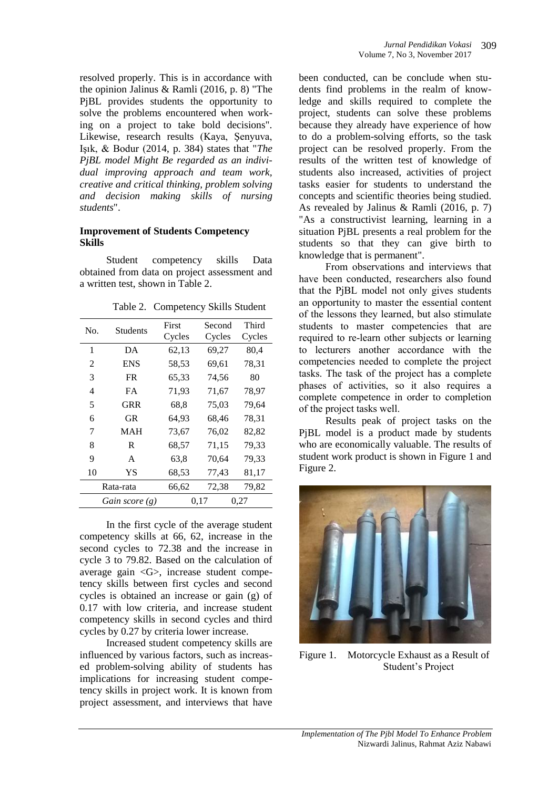resolved properly. This is in accordance with the opinion Jalinus & Ramli (2016, p. 8) "The PjBL provides students the opportunity to solve the problems encountered when working on a project to take bold decisions". Likewise, research results (Kaya, Şenyuva, Işık, & Bodur (2014, p. 384) states that "*The PjBL model Might Be regarded as an individual improving approach and team work, creative and critical thinking, problem solving and decision making skills of nursing students*".

#### **Improvement of Students Competency Skills**

Student competency skills Data obtained from data on project assessment and a written test, shown in Table 2.

Table 2. Competency Skills Student

| No.              | <b>Students</b> | First<br>Cycles | Second<br>Cycles | Third<br>Cycles |  |
|------------------|-----------------|-----------------|------------------|-----------------|--|
| 1                | DA              | 62,13           | 69,27            | 80,4            |  |
| 2                | <b>ENS</b>      | 58,53           | 69,61            | 78,31           |  |
| 3                | FR.             | 65,33           | 74,56            | 80              |  |
| $\overline{4}$   | FA              | 71,93           | 71,67            | 78,97           |  |
| 5                | GRR             | 68,8            | 75,03            | 79,64           |  |
| 6                | GR              | 64,93           | 68,46            | 78,31           |  |
| 7                | MAH             | 73,67           | 76,02            | 82,82           |  |
| 8                | R               | 68,57           | 71,15            | 79,33           |  |
| 9                | A               | 63,8            | 70,64            | 79,33           |  |
| 10               | YS              | 68,53           | 77,43            | 81,17           |  |
| Rata-rata        |                 | 66,62           | 72,38            | 79,82           |  |
| Gain score $(g)$ |                 |                 | 0,17<br>0,27     |                 |  |

In the first cycle of the average student competency skills at 66, 62, increase in the second cycles to 72.38 and the increase in cycle 3 to 79.82. Based on the calculation of average gain <G>, increase student competency skills between first cycles and second cycles is obtained an increase or gain (g) of 0.17 with low criteria, and increase student competency skills in second cycles and third cycles by 0.27 by criteria lower increase.

Increased student competency skills are influenced by various factors, such as increased problem-solving ability of students has implications for increasing student competency skills in project work. It is known from project assessment, and interviews that have

been conducted, can be conclude when students find problems in the realm of knowledge and skills required to complete the project, students can solve these problems because they already have experience of how to do a problem-solving efforts, so the task project can be resolved properly. From the results of the written test of knowledge of students also increased, activities of project tasks easier for students to understand the concepts and scientific theories being studied. As revealed by Jalinus & Ramli (2016, p. 7) "As a constructivist learning, learning in a situation PjBL presents a real problem for the students so that they can give birth to knowledge that is permanent".

From observations and interviews that have been conducted, researchers also found that the PjBL model not only gives students an opportunity to master the essential content of the lessons they learned, but also stimulate students to master competencies that are required to re-learn other subjects or learning to lecturers another accordance with the competencies needed to complete the project tasks. The task of the project has a complete phases of activities, so it also requires a complete competence in order to completion of the project tasks well.

Results peak of project tasks on the PjBL model is a product made by students who are economically valuable. The results of student work product is shown in Figure 1 and Figure 2.



Figure 1. Motorcycle Exhaust as a Result of Student's Project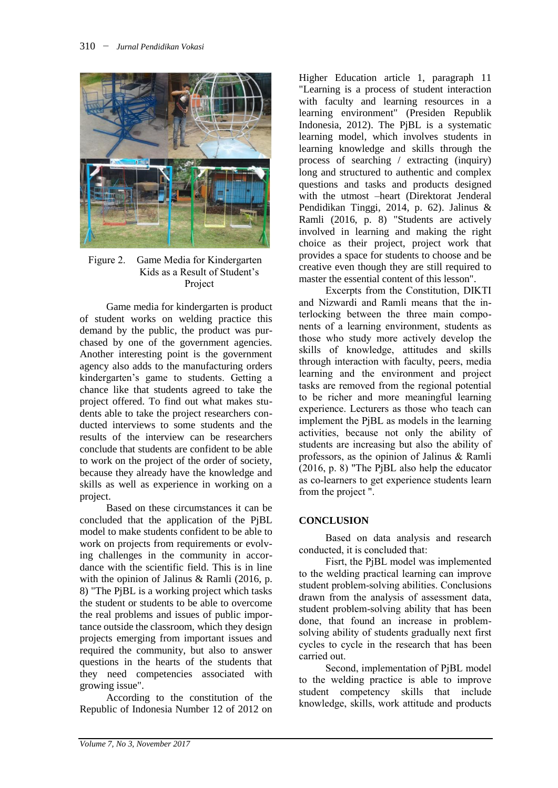

#### Figure 2. Game Media for Kindergarten Kids as a Result of Student's Project

Game media for kindergarten is product of student works on welding practice this demand by the public, the product was purchased by one of the government agencies. Another interesting point is the government agency also adds to the manufacturing orders kindergarten's game to students. Getting a chance like that students agreed to take the project offered. To find out what makes students able to take the project researchers conducted interviews to some students and the results of the interview can be researchers conclude that students are confident to be able to work on the project of the order of society, because they already have the knowledge and skills as well as experience in working on a project.

Based on these circumstances it can be concluded that the application of the PjBL model to make students confident to be able to work on projects from requirements or evolving challenges in the community in accordance with the scientific field. This is in line with the opinion of Jalinus & Ramli (2016, p. 8) "The PjBL is a working project which tasks the student or students to be able to overcome the real problems and issues of public importance outside the classroom, which they design projects emerging from important issues and required the community, but also to answer questions in the hearts of the students that they need competencies associated with growing issue".

According to the constitution of the Republic of Indonesia Number 12 of 2012 on

Higher Education article 1, paragraph 11 "Learning is a process of student interaction with faculty and learning resources in a learning environment" (Presiden Republik Indonesia, 2012). The PjBL is a systematic learning model, which involves students in learning knowledge and skills through the process of searching / extracting (inquiry) long and structured to authentic and complex questions and tasks and products designed with the utmost –heart (Direktorat Jenderal Pendidikan Tinggi, 2014, p. 62). Jalinus & Ramli (2016, p. 8) "Students are actively involved in learning and making the right choice as their project, project work that provides a space for students to choose and be creative even though they are still required to master the essential content of this lesson".

Excerpts from the Constitution, DIKTI and Nizwardi and Ramli means that the interlocking between the three main components of a learning environment, students as those who study more actively develop the skills of knowledge, attitudes and skills through interaction with faculty, peers, media learning and the environment and project tasks are removed from the regional potential to be richer and more meaningful learning experience. Lecturers as those who teach can implement the PjBL as models in the learning activities, because not only the ability of students are increasing but also the ability of professors, as the opinion of Jalinus & Ramli (2016, p. 8) "The PjBL also help the educator as co-learners to get experience students learn from the project ".

## **CONCLUSION**

Based on data analysis and research conducted, it is concluded that:

Fisrt, the PjBL model was implemented to the welding practical learning can improve student problem-solving abilities. Conclusions drawn from the analysis of assessment data, student problem-solving ability that has been done, that found an increase in problemsolving ability of students gradually next first cycles to cycle in the research that has been carried out.

Second, implementation of PjBL model to the welding practice is able to improve student competency skills that include knowledge, skills, work attitude and products